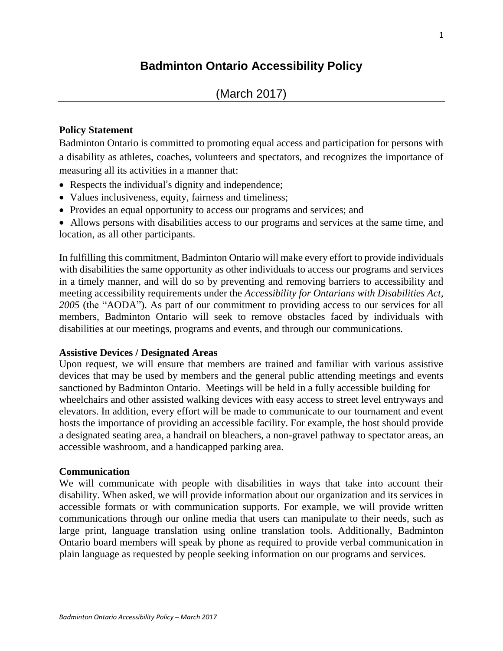# **Badminton Ontario Accessibility Policy**

## **Policy Statement**

Badminton Ontario is committed to promoting equal access and participation for persons with a disability as athletes, coaches, volunteers and spectators, and recognizes the importance of measuring all its activities in a manner that:

- Respects the individual's dignity and independence;
- Values inclusiveness, equity, fairness and timeliness;
- Provides an equal opportunity to access our programs and services; and
- Allows persons with disabilities access to our programs and services at the same time, and location, as all other participants.

In fulfilling this commitment, Badminton Ontario will make every effort to provide individuals with disabilities the same opportunity as other individuals to access our programs and services in a timely manner, and will do so by preventing and removing barriers to accessibility and meeting accessibility requirements under the *Accessibility for Ontarians with Disabilities Act, 2005* (the "AODA"). As part of our commitment to providing access to our services for all members, Badminton Ontario will seek to remove obstacles faced by individuals with disabilities at our meetings, programs and events, and through our communications.

### **Assistive Devices / Designated Areas**

Upon request, we will ensure that members are trained and familiar with various assistive devices that may be used by members and the general public attending meetings and events sanctioned by Badminton Ontario. Meetings will be held in a fully accessible building for wheelchairs and other assisted walking devices with easy access to street level entryways and elevators. In addition, every effort will be made to communicate to our tournament and event hosts the importance of providing an accessible facility. For example, the host should provide a designated seating area, a handrail on bleachers, a non-gravel pathway to spectator areas, an accessible washroom, and a handicapped parking area.

### **Communication**

We will communicate with people with disabilities in ways that take into account their disability. When asked, we will provide information about our organization and its services in accessible formats or with communication supports. For example, we will provide written communications through our online media that users can manipulate to their needs, such as large print, language translation using online translation tools. Additionally, Badminton Ontario board members will speak by phone as required to provide verbal communication in plain language as requested by people seeking information on our programs and services.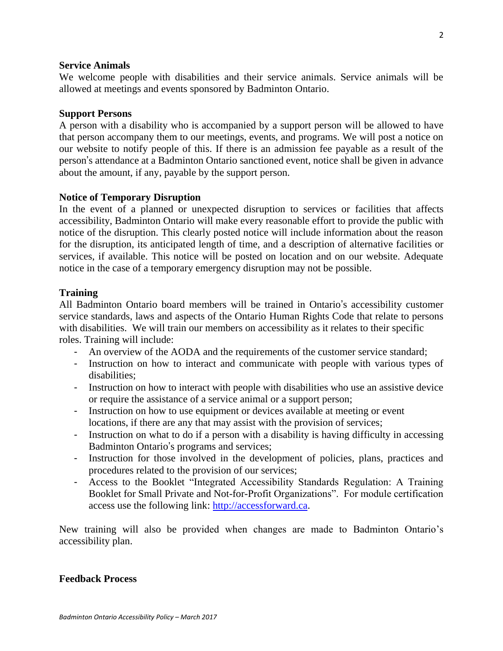#### **Service Animals**

We welcome people with disabilities and their service animals. Service animals will be allowed at meetings and events sponsored by Badminton Ontario.

#### **Support Persons**

A person with a disability who is accompanied by a support person will be allowed to have that person accompany them to our meetings, events, and programs. We will post a notice on our website to notify people of this. If there is an admission fee payable as a result of the person's attendance at a Badminton Ontario sanctioned event, notice shall be given in advance about the amount, if any, payable by the support person.

### **Notice of Temporary Disruption**

In the event of a planned or unexpected disruption to services or facilities that affects accessibility, Badminton Ontario will make every reasonable effort to provide the public with notice of the disruption. This clearly posted notice will include information about the reason for the disruption, its anticipated length of time, and a description of alternative facilities or services, if available. This notice will be posted on location and on our website. Adequate notice in the case of a temporary emergency disruption may not be possible.

### **Training**

All Badminton Ontario board members will be trained in Ontario's accessibility customer service standards, laws and aspects of the Ontario Human Rights Code that relate to persons with disabilities. We will train our members on accessibility as it relates to their specific roles. Training will include:

- An overview of the AODA and the requirements of the customer service standard;
- Instruction on how to interact and communicate with people with various types of disabilities;
- Instruction on how to interact with people with disabilities who use an assistive device or require the assistance of a service animal or a support person;
- Instruction on how to use equipment or devices available at meeting or event locations, if there are any that may assist with the provision of services;
- Instruction on what to do if a person with a disability is having difficulty in accessing Badminton Ontario's programs and services;
- Instruction for those involved in the development of policies, plans, practices and procedures related to the provision of our services;
- Access to the Booklet "Integrated Accessibility Standards Regulation: A Training Booklet for Small Private and Not-for-Profit Organizations". For module certification access use the following link: [http://accessforward.ca.](http://accessforward.ca/)

New training will also be provided when changes are made to Badminton Ontario's accessibility plan.

### **Feedback Process**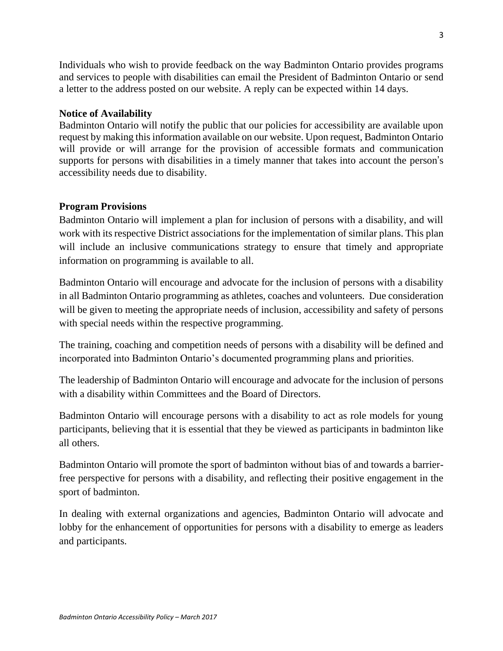Individuals who wish to provide feedback on the way Badminton Ontario provides programs and services to people with disabilities can email the President of Badminton Ontario or send a letter to the address posted on our website. A reply can be expected within 14 days.

# **Notice of Availability**

Badminton Ontario will notify the public that our policies for accessibility are available upon request by making this information available on our website. Upon request, Badminton Ontario will provide or will arrange for the provision of accessible formats and communication supports for persons with disabilities in a timely manner that takes into account the person's accessibility needs due to disability.

## **Program Provisions**

Badminton Ontario will implement a plan for inclusion of persons with a disability, and will work with its respective District associations for the implementation of similar plans. This plan will include an inclusive communications strategy to ensure that timely and appropriate information on programming is available to all.

Badminton Ontario will encourage and advocate for the inclusion of persons with a disability in all Badminton Ontario programming as athletes, coaches and volunteers. Due consideration will be given to meeting the appropriate needs of inclusion, accessibility and safety of persons with special needs within the respective programming.

The training, coaching and competition needs of persons with a disability will be defined and incorporated into Badminton Ontario's documented programming plans and priorities.

The leadership of Badminton Ontario will encourage and advocate for the inclusion of persons with a disability within Committees and the Board of Directors.

Badminton Ontario will encourage persons with a disability to act as role models for young participants, believing that it is essential that they be viewed as participants in badminton like all others.

Badminton Ontario will promote the sport of badminton without bias of and towards a barrierfree perspective for persons with a disability, and reflecting their positive engagement in the sport of badminton.

In dealing with external organizations and agencies, Badminton Ontario will advocate and lobby for the enhancement of opportunities for persons with a disability to emerge as leaders and participants.